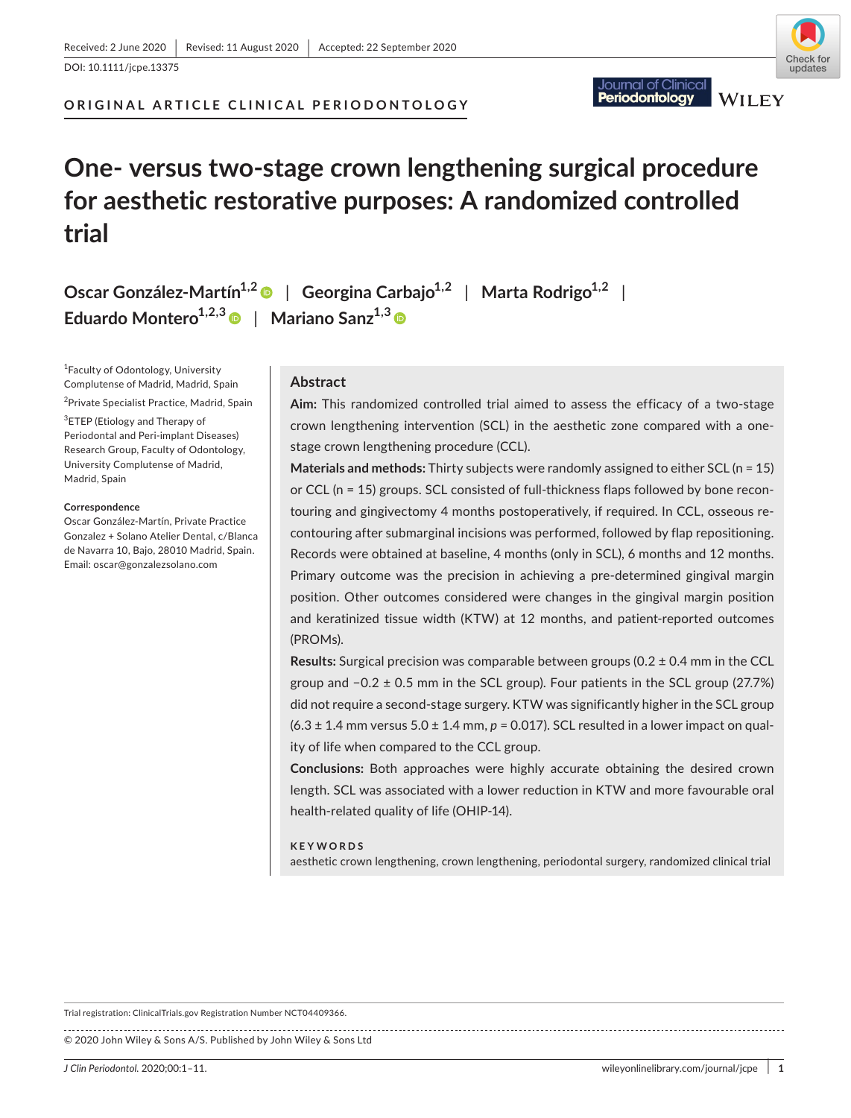DOI: 10.1111/jcpe.13375

**ORIGINAL ARTICLE CLINICAL PERIODONTOLOGY**

# **One- versus two-stage crown lengthening surgical procedure for aesthetic restorative purposes: A randomized controlled trial**

**Oscar González-Martín1,[2](https://orcid.org/0000-0003-3957-4872)** | **Georgina Carbajo1,2** | **Marta Rodrigo1,2** | **Eduardo Montero1,2,[3](https://orcid.org/0000-0003-2525-8529)** | **Mariano Sanz1,3**

1 Faculty of Odontology, University Complutense of Madrid, Madrid, Spain

<sup>2</sup>Private Specialist Practice, Madrid, Spain

<sup>3</sup>ETEP (Etiology and Therapy of Periodontal and Peri-implant Diseases) Research Group, Faculty of Odontology, University Complutense of Madrid, Madrid, Spain

#### **Correspondence**

Oscar González-Martín, Private Practice Gonzalez + Solano Atelier Dental, c/Blanca de Navarra 10, Bajo, 28010 Madrid, Spain. Email: [oscar@gonzalezsolano.com](mailto:oscar@gonzalezsolano.com)

## **Abstract**

**Aim:** This randomized controlled trial aimed to assess the efficacy of a two-stage crown lengthening intervention (SCL) in the aesthetic zone compared with a onestage crown lengthening procedure (CCL).

**Materials and methods:** Thirty subjects were randomly assigned to either SCL (n = 15) or CCL (n = 15) groups. SCL consisted of full-thickness flaps followed by bone recontouring and gingivectomy 4 months postoperatively, if required. In CCL, osseous recontouring after submarginal incisions was performed, followed by flap repositioning. Records were obtained at baseline, 4 months (only in SCL), 6 months and 12 months. Primary outcome was the precision in achieving a pre-determined gingival margin position. Other outcomes considered were changes in the gingival margin position and keratinized tissue width (KTW) at 12 months, and patient-reported outcomes (PROMs).

**Results:** Surgical precision was comparable between groups (0.2 ± 0.4 mm in the CCL group and −0.2 ± 0.5 mm in the SCL group). Four patients in the SCL group (27.7%) did not require a second-stage surgery. KTW was significantly higher in the SCL group  $(6.3 \pm 1.4 \text{ mm}$  versus  $5.0 \pm 1.4 \text{ mm}$ ,  $p = 0.017$ ). SCL resulted in a lower impact on quality of life when compared to the CCL group.

**Conclusions:** Both approaches were highly accurate obtaining the desired crown length. SCL was associated with a lower reduction in KTW and more favourable oral health-related quality of life (OHIP-14).

#### **KEYWORDS**

aesthetic crown lengthening, crown lengthening, periodontal surgery, randomized clinical trial

Trial registration: ClinicalTrials.gov Registration Number NCT04409366. 

© 2020 John Wiley & Sons A/S. Published by John Wiley & Sons Ltd



**WILEY** 

Periodontology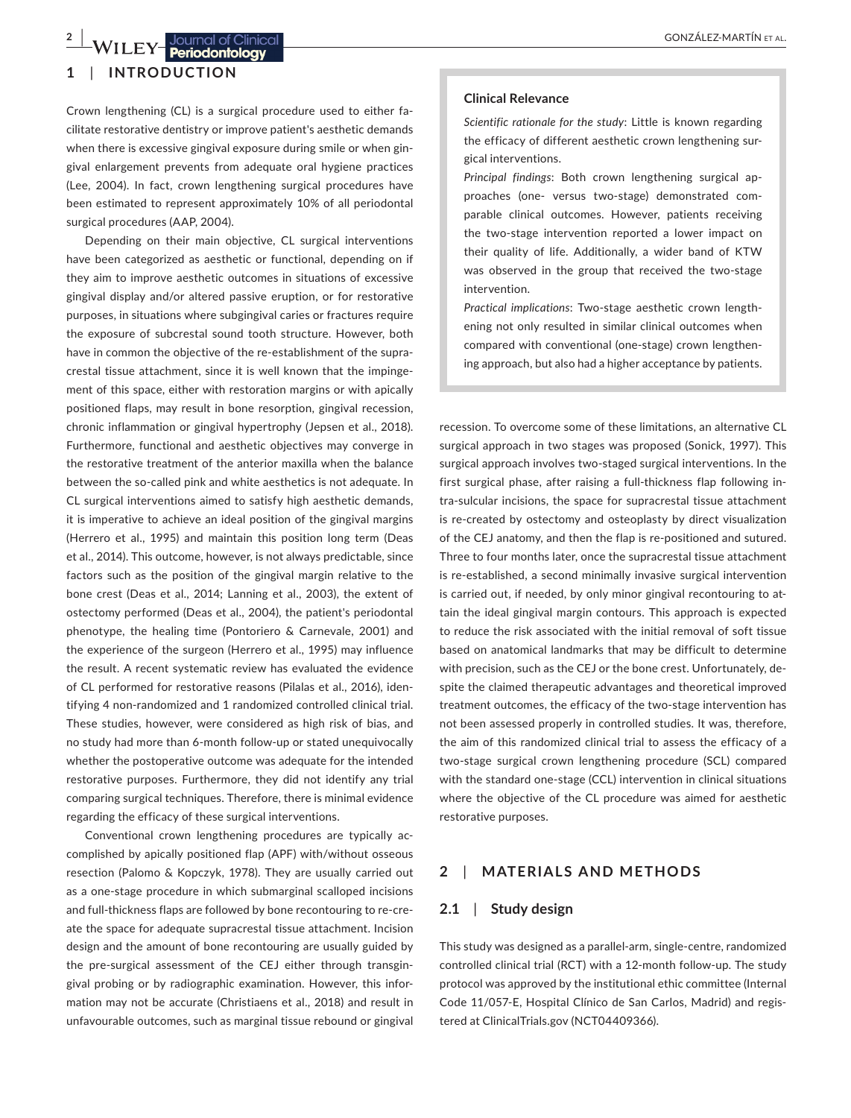**2 <sup>|</sup>**  GONZÁLEZ-MARTÍN et al.

# **1**  | **INTRODUCTION**

Crown lengthening (CL) is a surgical procedure used to either facilitate restorative dentistry or improve patient's aesthetic demands when there is excessive gingival exposure during smile or when gingival enlargement prevents from adequate oral hygiene practices (Lee, 2004). In fact, crown lengthening surgical procedures have been estimated to represent approximately 10% of all periodontal surgical procedures (AAP, 2004).

Depending on their main objective, CL surgical interventions have been categorized as aesthetic or functional, depending on if they aim to improve aesthetic outcomes in situations of excessive gingival display and/or altered passive eruption, or for restorative purposes, in situations where subgingival caries or fractures require the exposure of subcrestal sound tooth structure. However, both have in common the objective of the re-establishment of the supracrestal tissue attachment, since it is well known that the impingement of this space, either with restoration margins or with apically positioned flaps, may result in bone resorption, gingival recession, chronic inflammation or gingival hypertrophy (Jepsen et al., 2018). Furthermore, functional and aesthetic objectives may converge in the restorative treatment of the anterior maxilla when the balance between the so-called pink and white aesthetics is not adequate. In CL surgical interventions aimed to satisfy high aesthetic demands, it is imperative to achieve an ideal position of the gingival margins (Herrero et al., 1995) and maintain this position long term (Deas et al., 2014). This outcome, however, is not always predictable, since factors such as the position of the gingival margin relative to the bone crest (Deas et al., 2014; Lanning et al., 2003), the extent of ostectomy performed (Deas et al., 2004), the patient's periodontal phenotype, the healing time (Pontoriero & Carnevale, 2001) and the experience of the surgeon (Herrero et al., 1995) may influence the result. A recent systematic review has evaluated the evidence of CL performed for restorative reasons (Pilalas et al., 2016), identifying 4 non-randomized and 1 randomized controlled clinical trial. These studies, however, were considered as high risk of bias, and no study had more than 6-month follow-up or stated unequivocally whether the postoperative outcome was adequate for the intended restorative purposes. Furthermore, they did not identify any trial comparing surgical techniques. Therefore, there is minimal evidence regarding the efficacy of these surgical interventions.

Conventional crown lengthening procedures are typically accomplished by apically positioned flap (APF) with/without osseous resection (Palomo & Kopczyk, 1978). They are usually carried out as a one-stage procedure in which submarginal scalloped incisions and full-thickness flaps are followed by bone recontouring to re-create the space for adequate supracrestal tissue attachment. Incision design and the amount of bone recontouring are usually guided by the pre-surgical assessment of the CEJ either through transgingival probing or by radiographic examination. However, this information may not be accurate (Christiaens et al., 2018) and result in unfavourable outcomes, such as marginal tissue rebound or gingival

#### **Clinical Relevance**

*Scientific rationale for the study*: Little is known regarding the efficacy of different aesthetic crown lengthening surgical interventions.

*Principal findings*: Both crown lengthening surgical approaches (one- versus two-stage) demonstrated comparable clinical outcomes. However, patients receiving the two-stage intervention reported a lower impact on their quality of life. Additionally, a wider band of KTW was observed in the group that received the two-stage intervention.

*Practical implications*: Two-stage aesthetic crown lengthening not only resulted in similar clinical outcomes when compared with conventional (one-stage) crown lengthening approach, but also had a higher acceptance by patients.

recession. To overcome some of these limitations, an alternative CL surgical approach in two stages was proposed (Sonick, 1997). This surgical approach involves two-staged surgical interventions. In the first surgical phase, after raising a full-thickness flap following intra-sulcular incisions, the space for supracrestal tissue attachment is re-created by ostectomy and osteoplasty by direct visualization of the CEJ anatomy, and then the flap is re-positioned and sutured. Three to four months later, once the supracrestal tissue attachment is re-established, a second minimally invasive surgical intervention is carried out, if needed, by only minor gingival recontouring to attain the ideal gingival margin contours. This approach is expected to reduce the risk associated with the initial removal of soft tissue based on anatomical landmarks that may be difficult to determine with precision, such as the CEJ or the bone crest. Unfortunately, despite the claimed therapeutic advantages and theoretical improved treatment outcomes, the efficacy of the two-stage intervention has not been assessed properly in controlled studies. It was, therefore, the aim of this randomized clinical trial to assess the efficacy of a two-stage surgical crown lengthening procedure (SCL) compared with the standard one-stage (CCL) intervention in clinical situations where the objective of the CL procedure was aimed for aesthetic restorative purposes.

## **2**  | **MATERIALS AND METHODS**

## **2.1**  | **Study design**

This study was designed as a parallel-arm, single-centre, randomized controlled clinical trial (RCT) with a 12-month follow-up. The study protocol was approved by the institutional ethic committee (Internal Code 11/057-E, Hospital Clínico de San Carlos, Madrid) and registered at ClinicalTrials.gov (NCT04409366).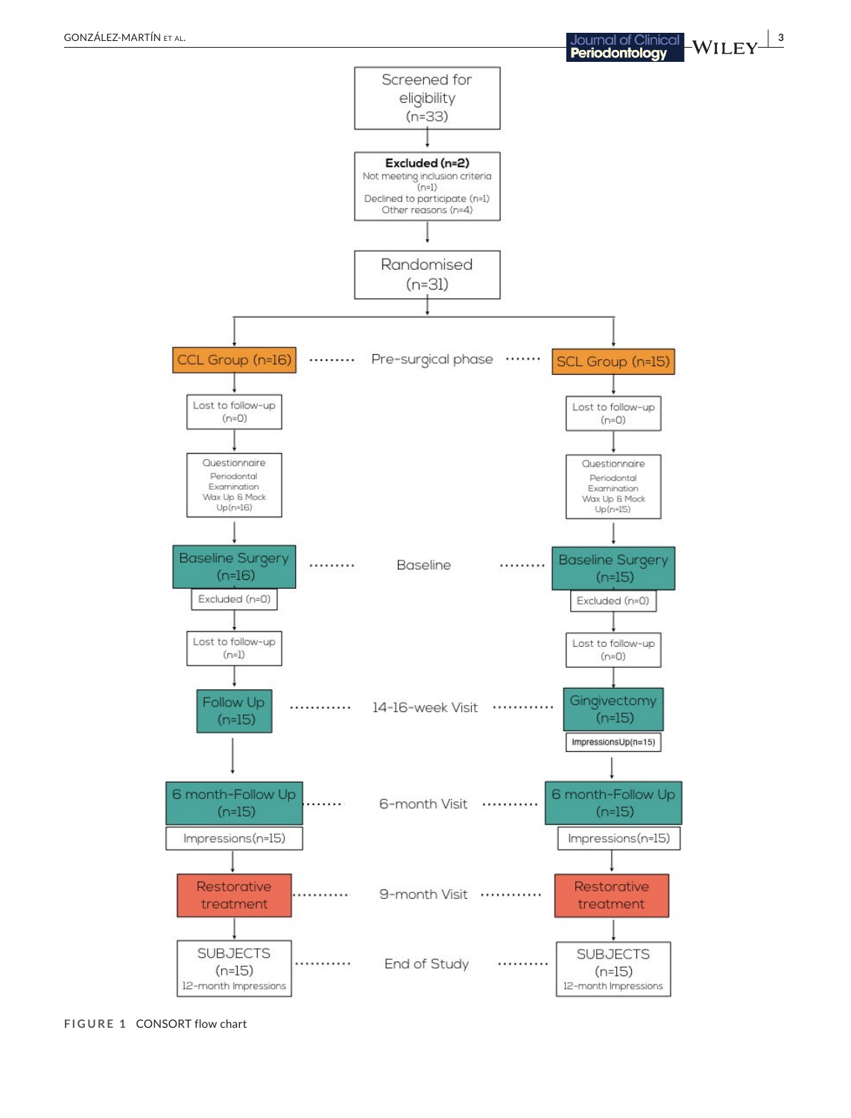

 $(n=15)$ 

12-month Impressions



 $(n=15)$ 

12-month Impressions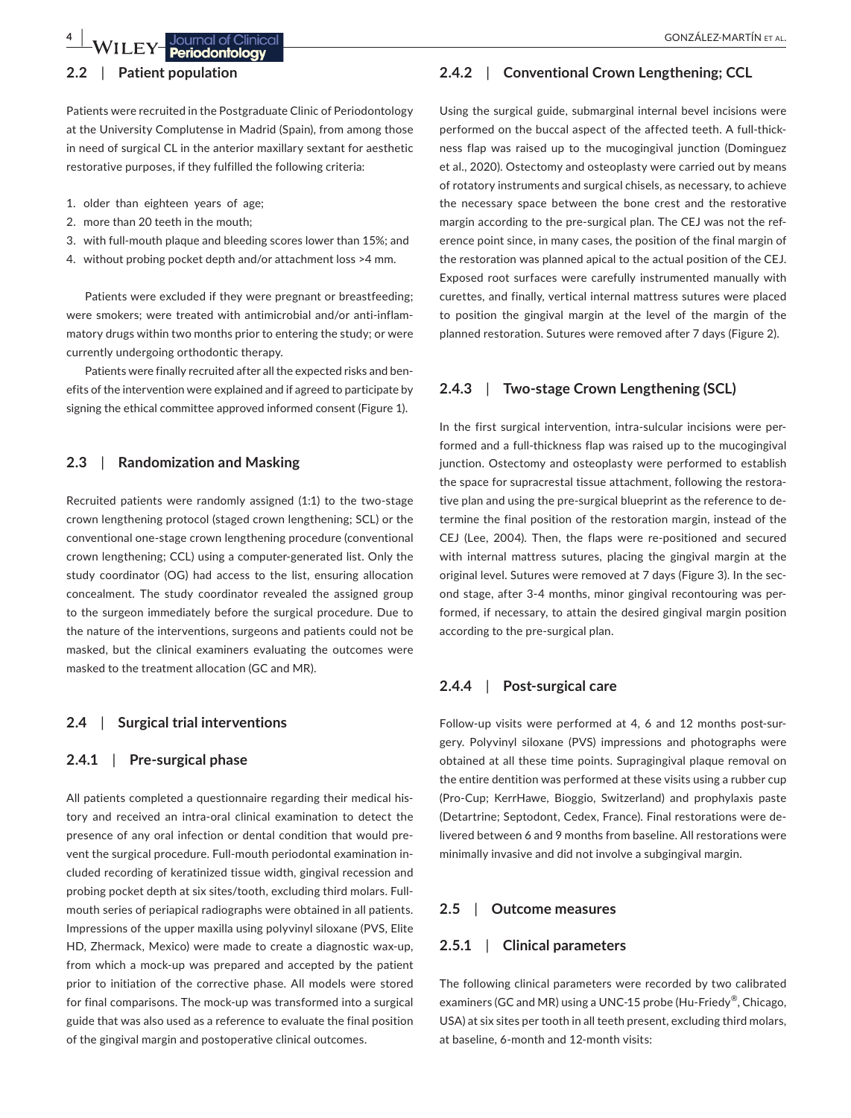# **2.2**  | **Patient population**

Patients were recruited in the Postgraduate Clinic of Periodontology at the University Complutense in Madrid (Spain), from among those in need of surgical CL in the anterior maxillary sextant for aesthetic restorative purposes, if they fulfilled the following criteria:

- 1. older than eighteen years of age;
- 2. more than 20 teeth in the mouth;
- 3. with full-mouth plaque and bleeding scores lower than 15%; and
- 4. without probing pocket depth and/or attachment loss >4 mm.

Patients were excluded if they were pregnant or breastfeeding; were smokers; were treated with antimicrobial and/or anti-inflammatory drugs within two months prior to entering the study; or were currently undergoing orthodontic therapy.

Patients were finally recruited after all the expected risks and benefits of the intervention were explained and if agreed to participate by signing the ethical committee approved informed consent (Figure 1).

## **2.3**  | **Randomization and Masking**

Recruited patients were randomly assigned (1:1) to the two-stage crown lengthening protocol (staged crown lengthening; SCL) or the conventional one-stage crown lengthening procedure (conventional crown lengthening; CCL) using a computer-generated list. Only the study coordinator (OG) had access to the list, ensuring allocation concealment. The study coordinator revealed the assigned group to the surgeon immediately before the surgical procedure. Due to the nature of the interventions, surgeons and patients could not be masked, but the clinical examiners evaluating the outcomes were masked to the treatment allocation (GC and MR).

## **2.4**  | **Surgical trial interventions**

## **2.4.1**  | **Pre-surgical phase**

All patients completed a questionnaire regarding their medical history and received an intra-oral clinical examination to detect the presence of any oral infection or dental condition that would prevent the surgical procedure. Full-mouth periodontal examination included recording of keratinized tissue width, gingival recession and probing pocket depth at six sites/tooth, excluding third molars. Fullmouth series of periapical radiographs were obtained in all patients. Impressions of the upper maxilla using polyvinyl siloxane (PVS, Elite HD, Zhermack, Mexico) were made to create a diagnostic wax-up, from which a mock-up was prepared and accepted by the patient prior to initiation of the corrective phase. All models were stored for final comparisons. The mock-up was transformed into a surgical guide that was also used as a reference to evaluate the final position of the gingival margin and postoperative clinical outcomes.

# **2.4.2**  | **Conventional Crown Lengthening; CCL**

Using the surgical guide, submarginal internal bevel incisions were performed on the buccal aspect of the affected teeth. A full-thickness flap was raised up to the mucogingival junction (Dominguez et al., 2020). Ostectomy and osteoplasty were carried out by means of rotatory instruments and surgical chisels, as necessary, to achieve the necessary space between the bone crest and the restorative margin according to the pre-surgical plan. The CEJ was not the reference point since, in many cases, the position of the final margin of the restoration was planned apical to the actual position of the CEJ. Exposed root surfaces were carefully instrumented manually with curettes, and finally, vertical internal mattress sutures were placed to position the gingival margin at the level of the margin of the planned restoration. Sutures were removed after 7 days (Figure 2).

# **2.4.3**  | **Two-stage Crown Lengthening (SCL)**

In the first surgical intervention, intra-sulcular incisions were performed and a full-thickness flap was raised up to the mucogingival junction. Ostectomy and osteoplasty were performed to establish the space for supracrestal tissue attachment, following the restorative plan and using the pre-surgical blueprint as the reference to determine the final position of the restoration margin, instead of the CEJ (Lee, 2004). Then, the flaps were re-positioned and secured with internal mattress sutures, placing the gingival margin at the original level. Sutures were removed at 7 days (Figure 3). In the second stage, after 3-4 months, minor gingival recontouring was performed, if necessary, to attain the desired gingival margin position according to the pre-surgical plan.

## **2.4.4**  | **Post-surgical care**

Follow-up visits were performed at 4, 6 and 12 months post-surgery. Polyvinyl siloxane (PVS) impressions and photographs were obtained at all these time points. Supragingival plaque removal on the entire dentition was performed at these visits using a rubber cup (Pro-Cup; KerrHawe, Bioggio, Switzerland) and prophylaxis paste (Detartrine; Septodont, Cedex, France). Final restorations were delivered between 6 and 9 months from baseline. All restorations were minimally invasive and did not involve a subgingival margin.

### **2.5**  | **Outcome measures**

## **2.5.1**  | **Clinical parameters**

The following clinical parameters were recorded by two calibrated examiners (GC and MR) using a UNC-15 probe (Hu-Friedy®, Chicago, USA) at six sites per tooth in all teeth present, excluding third molars, at baseline, 6-month and 12-month visits: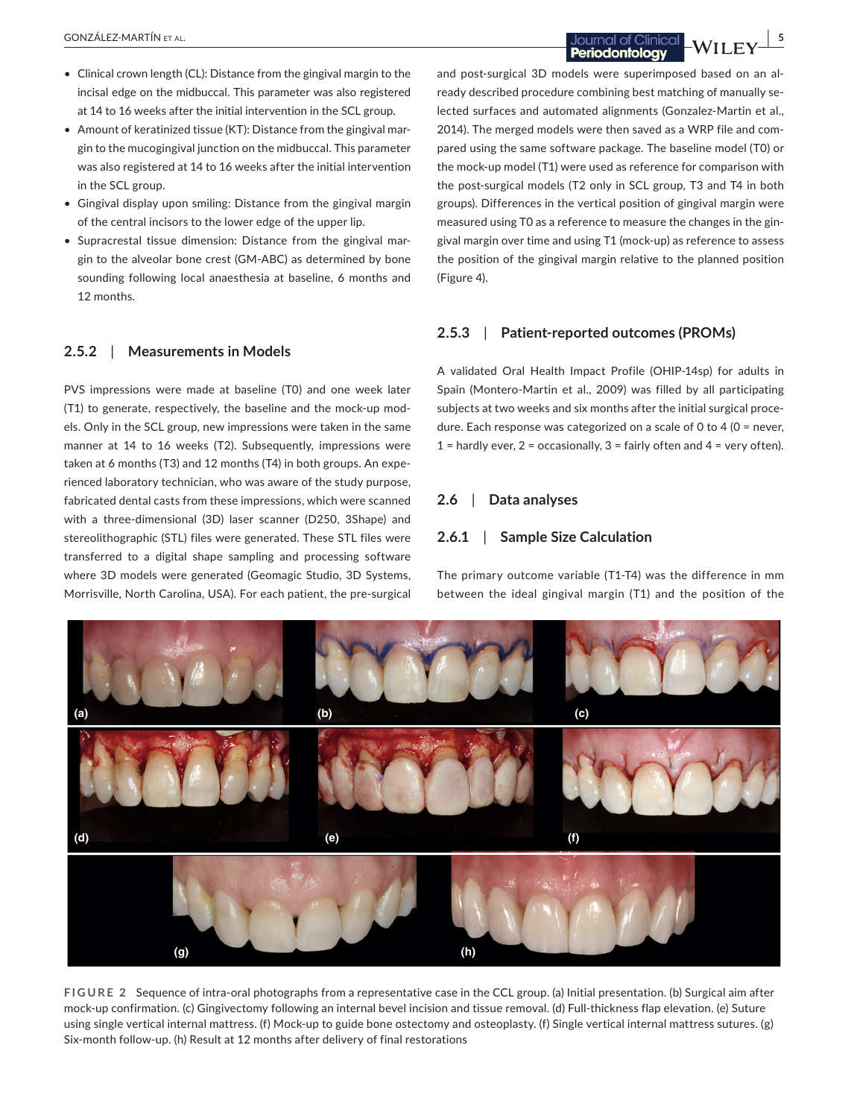- Clinical crown length (CL): Distance from the gingival margin to the incisal edge on the midbuccal. This parameter was also registered at 14 to 16 weeks after the initial intervention in the SCL group.
- Amount of keratinized tissue (KT): Distance from the gingival margin to the mucogingival junction on the midbuccal. This parameter was also registered at 14 to 16 weeks after the initial intervention in the SCL group.
- Gingival display upon smiling: Distance from the gingival margin of the central incisors to the lower edge of the upper lip.
- Supracrestal tissue dimension: Distance from the gingival margin to the alveolar bone crest (GM-ABC) as determined by bone sounding following local anaesthesia at baseline, 6 months and 12 months.

## **2.5.2**  | **Measurements in Models**

PVS impressions were made at baseline (T0) and one week later (T1) to generate, respectively, the baseline and the mock-up models. Only in the SCL group, new impressions were taken in the same manner at 14 to 16 weeks (T2). Subsequently, impressions were taken at 6 months (T3) and 12 months (T4) in both groups. An experienced laboratory technician, who was aware of the study purpose, fabricated dental casts from these impressions, which were scanned with a three-dimensional (3D) laser scanner (D250, 3Shape) and stereolithographic (STL) files were generated. These STL files were transferred to a digital shape sampling and processing software where 3D models were generated (Geomagic Studio, 3D Systems, Morrisville, North Carolina, USA). For each patient, the pre-surgical

 GONZÁLEZ-MARTÍN et al. **<sup>|</sup> 5**

and post-surgical 3D models were superimposed based on an already described procedure combining best matching of manually selected surfaces and automated alignments (Gonzalez-Martin et al., 2014). The merged models were then saved as a WRP file and compared using the same software package. The baseline model (T0) or the mock-up model (T1) were used as reference for comparison with the post-surgical models (T2 only in SCL group, T3 and T4 in both groups). Differences in the vertical position of gingival margin were measured using T0 as a reference to measure the changes in the gingival margin over time and using T1 (mock-up) as reference to assess the position of the gingival margin relative to the planned position (Figure 4).

#### **2.5.3**  | **Patient-reported outcomes (PROMs)**

A validated Oral Health Impact Profile (OHIP-14sp) for adults in Spain (Montero-Martin et al., 2009) was filled by all participating subjects at two weeks and six months after the initial surgical procedure. Each response was categorized on a scale of 0 to 4 (0 = never, 1 = hardly ever,  $2$  = occasionally,  $3$  = fairly often and  $4$  = very often).

# **2.6**  | **Data analyses**

# **2.6.1**  | **Sample Size Calculation**

The primary outcome variable (T1-T4) was the difference in mm between the ideal gingival margin (T1) and the position of the



mock-up confirmation. (c) Gingivectomy following an internal bevel incision and tissue removal. (d) Full-thickness flap elevation. (e) Suture using single vertical internal mattress. (f) Mock-up to guide bone ostectomy and osteoplasty. (f) Single vertical internal mattress sutures. (g) Six-month follow-up. (h) Result at 12 months after delivery of final restorations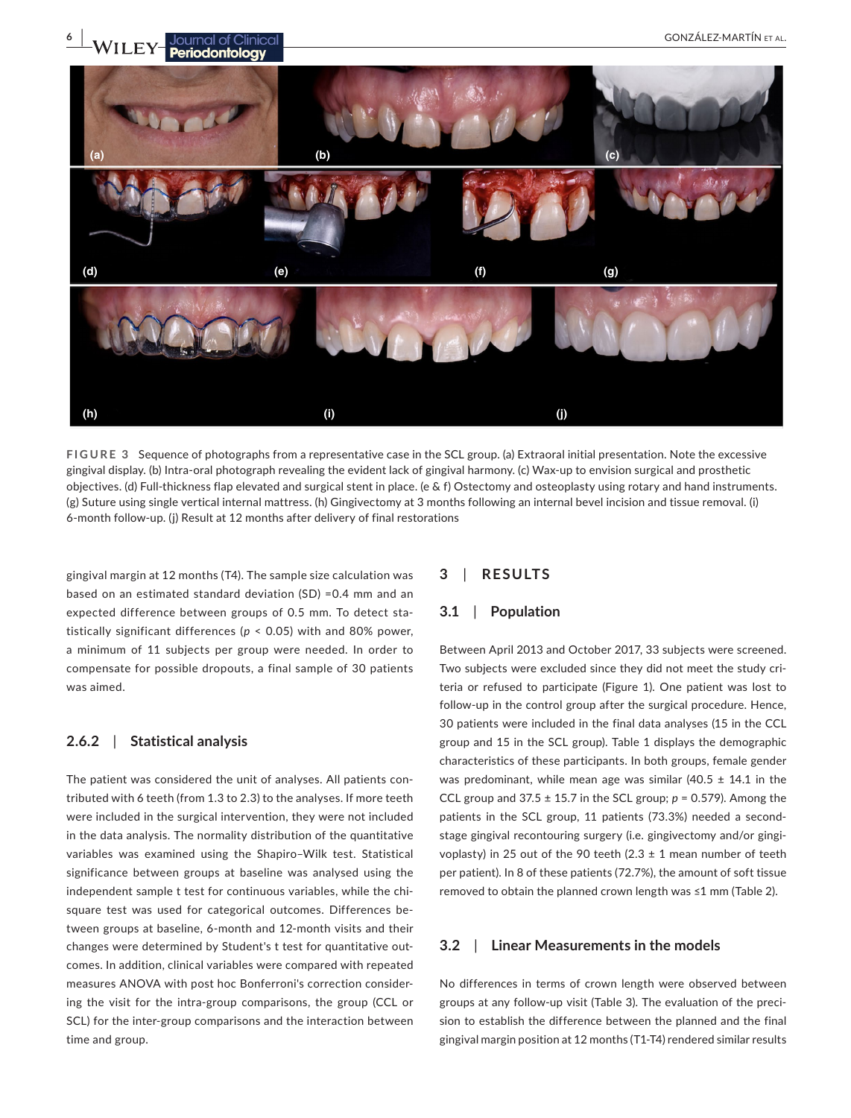

**FIGURE 3** Sequence of photographs from a representative case in the SCL group. (a) Extraoral initial presentation. Note the excessive gingival display. (b) Intra-oral photograph revealing the evident lack of gingival harmony. (c) Wax-up to envision surgical and prosthetic objectives. (d) Full-thickness flap elevated and surgical stent in place. (e & f) Ostectomy and osteoplasty using rotary and hand instruments. (g) Suture using single vertical internal mattress. (h) Gingivectomy at 3 months following an internal bevel incision and tissue removal. (i) 6-month follow-up. (j) Result at 12 months after delivery of final restorations

gingival margin at 12 months (T4). The sample size calculation was based on an estimated standard deviation (SD) =0.4 mm and an expected difference between groups of 0.5 mm. To detect statistically significant differences (*p* < 0.05) with and 80% power, a minimum of 11 subjects per group were needed. In order to compensate for possible dropouts, a final sample of 30 patients was aimed.

## **2.6.2**  | **Statistical analysis**

The patient was considered the unit of analyses. All patients contributed with 6 teeth (from 1.3 to 2.3) to the analyses. If more teeth were included in the surgical intervention, they were not included in the data analysis. The normality distribution of the quantitative variables was examined using the Shapiro–Wilk test. Statistical significance between groups at baseline was analysed using the independent sample t test for continuous variables, while the chisquare test was used for categorical outcomes. Differences between groups at baseline, 6-month and 12-month visits and their changes were determined by Student's t test for quantitative outcomes. In addition, clinical variables were compared with repeated measures ANOVA with post hoc Bonferroni's correction considering the visit for the intra-group comparisons, the group (CCL or SCL) for the inter-group comparisons and the interaction between time and group.

# **3**  | **RESULTS**

## **3.1**  | **Population**

Between April 2013 and October 2017, 33 subjects were screened. Two subjects were excluded since they did not meet the study criteria or refused to participate (Figure 1). One patient was lost to follow-up in the control group after the surgical procedure. Hence, 30 patients were included in the final data analyses (15 in the CCL group and 15 in the SCL group). Table 1 displays the demographic characteristics of these participants. In both groups, female gender was predominant, while mean age was similar (40.5  $\pm$  14.1 in the CCL group and  $37.5 \pm 15.7$  in the SCL group;  $p = 0.579$ ). Among the patients in the SCL group, 11 patients (73.3%) needed a secondstage gingival recontouring surgery (i.e. gingivectomy and/or gingivoplasty) in 25 out of the 90 teeth (2.3  $\pm$  1 mean number of teeth per patient). In 8 of these patients (72.7%), the amount of soft tissue removed to obtain the planned crown length was ≤1 mm (Table 2).

## **3.2**  | **Linear Measurements in the models**

No differences in terms of crown length were observed between groups at any follow-up visit (Table 3). The evaluation of the precision to establish the difference between the planned and the final gingival margin position at 12 months (T1-T4) rendered similar results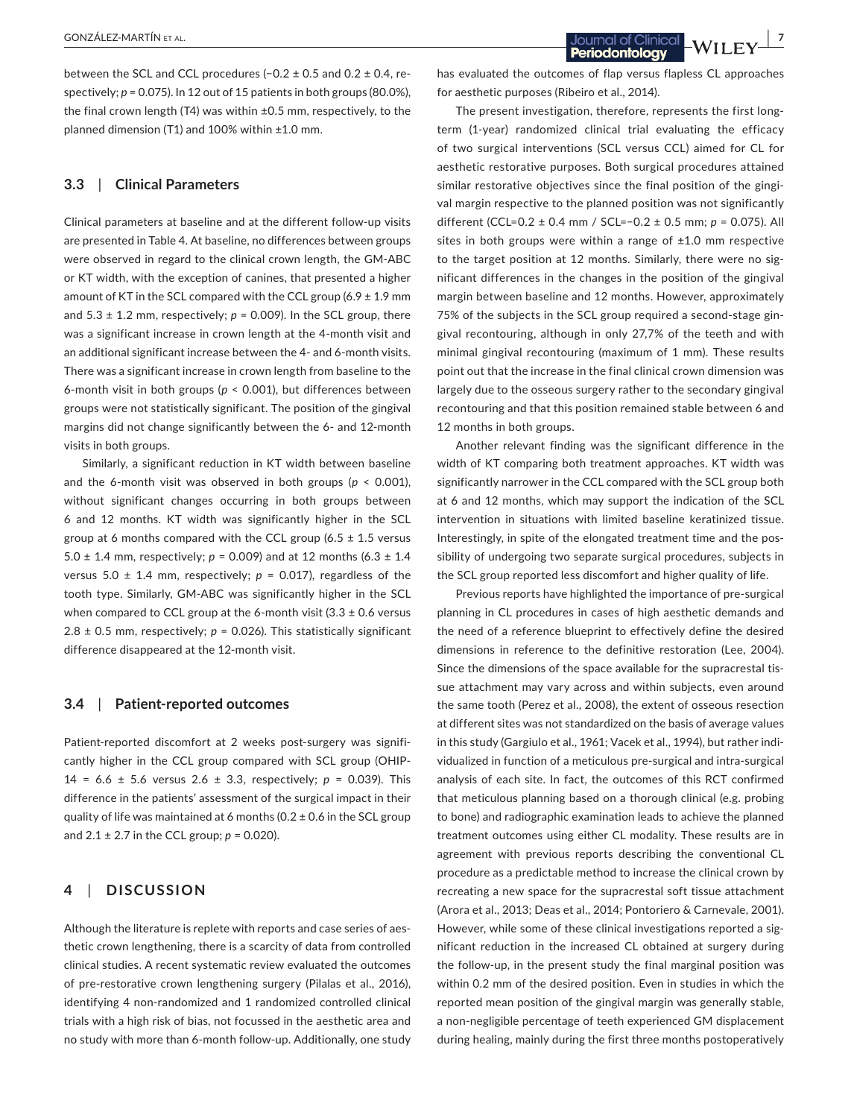between the SCL and CCL procedures (−0.2 ± 0.5 and 0.2 ± 0.4, respectively; *p* = 0.075). In 12 out of 15 patients in both groups (80.0%), the final crown length (T4) was within ±0.5 mm, respectively, to the planned dimension (T1) and 100% within ±1.0 mm.

## **3.3**  | **Clinical Parameters**

Clinical parameters at baseline and at the different follow-up visits are presented in Table 4. At baseline, no differences between groups were observed in regard to the clinical crown length, the GM-ABC or KT width, with the exception of canines, that presented a higher amount of KT in the SCL compared with the CCL group  $(6.9 \pm 1.9 \text{ mm})$ and  $5.3 \pm 1.2$  mm, respectively;  $p = 0.009$ ). In the SCL group, there was a significant increase in crown length at the 4-month visit and an additional significant increase between the 4- and 6-month visits. There was a significant increase in crown length from baseline to the 6-month visit in both groups (*p* < 0.001), but differences between groups were not statistically significant. The position of the gingival margins did not change significantly between the 6- and 12-month visits in both groups.

Similarly, a significant reduction in KT width between baseline and the 6-month visit was observed in both groups (*p* < 0.001), without significant changes occurring in both groups between 6 and 12 months. KT width was significantly higher in the SCL group at 6 months compared with the CCL group (6.5  $\pm$  1.5 versus 5.0 ± 1.4 mm, respectively; *p* = 0.009) and at 12 months (6.3 ± 1.4 versus 5.0  $\pm$  1.4 mm, respectively;  $p = 0.017$ ), regardless of the tooth type. Similarly, GM-ABC was significantly higher in the SCL when compared to CCL group at the 6-month visit  $(3.3 \pm 0.6 \text{ versus}$ 2.8  $\pm$  0.5 mm, respectively;  $p = 0.026$ ). This statistically significant difference disappeared at the 12-month visit.

## **3.4**  | **Patient-reported outcomes**

Patient-reported discomfort at 2 weeks post-surgery was significantly higher in the CCL group compared with SCL group (OHIP-14 = 6.6 ± 5.6 versus 2.6 ± 3.3, respectively; *p* = 0.039). This difference in the patients' assessment of the surgical impact in their quality of life was maintained at 6 months (0.2  $\pm$  0.6 in the SCL group and  $2.1 \pm 2.7$  in the CCL group;  $p = 0.020$ ).

## **4**  | **DISCUSSION**

Although the literature is replete with reports and case series of aesthetic crown lengthening, there is a scarcity of data from controlled clinical studies. A recent systematic review evaluated the outcomes of pre-restorative crown lengthening surgery (Pilalas et al., 2016), identifying 4 non-randomized and 1 randomized controlled clinical trials with a high risk of bias, not focussed in the aesthetic area and no study with more than 6-month follow-up. Additionally, one study has evaluated the outcomes of flap versus flapless CL approaches for aesthetic purposes (Ribeiro et al., 2014).

The present investigation, therefore, represents the first longterm (1-year) randomized clinical trial evaluating the efficacy of two surgical interventions (SCL versus CCL) aimed for CL for aesthetic restorative purposes. Both surgical procedures attained similar restorative objectives since the final position of the gingival margin respective to the planned position was not significantly different (CCL=0.2 ± 0.4 mm / SCL=−0.2 ± 0.5 mm; *p* = 0.075). All sites in both groups were within a range of  $\pm 1.0$  mm respective to the target position at 12 months. Similarly, there were no significant differences in the changes in the position of the gingival margin between baseline and 12 months. However, approximately 75% of the subjects in the SCL group required a second-stage gingival recontouring, although in only 27,7% of the teeth and with minimal gingival recontouring (maximum of 1 mm). These results point out that the increase in the final clinical crown dimension was largely due to the osseous surgery rather to the secondary gingival recontouring and that this position remained stable between 6 and 12 months in both groups.

Another relevant finding was the significant difference in the width of KT comparing both treatment approaches. KT width was significantly narrower in the CCL compared with the SCL group both at 6 and 12 months, which may support the indication of the SCL intervention in situations with limited baseline keratinized tissue. Interestingly, in spite of the elongated treatment time and the possibility of undergoing two separate surgical procedures, subjects in the SCL group reported less discomfort and higher quality of life.

Previous reports have highlighted the importance of pre-surgical planning in CL procedures in cases of high aesthetic demands and the need of a reference blueprint to effectively define the desired dimensions in reference to the definitive restoration (Lee, 2004). Since the dimensions of the space available for the supracrestal tissue attachment may vary across and within subjects, even around the same tooth (Perez et al., 2008), the extent of osseous resection at different sites was not standardized on the basis of average values in this study (Gargiulo et al., 1961; Vacek et al., 1994), but rather individualized in function of a meticulous pre-surgical and intra-surgical analysis of each site. In fact, the outcomes of this RCT confirmed that meticulous planning based on a thorough clinical (e.g. probing to bone) and radiographic examination leads to achieve the planned treatment outcomes using either CL modality. These results are in agreement with previous reports describing the conventional CL procedure as a predictable method to increase the clinical crown by recreating a new space for the supracrestal soft tissue attachment (Arora et al., 2013; Deas et al., 2014; Pontoriero & Carnevale, 2001). However, while some of these clinical investigations reported a significant reduction in the increased CL obtained at surgery during the follow-up, in the present study the final marginal position was within 0.2 mm of the desired position. Even in studies in which the reported mean position of the gingival margin was generally stable, a non-negligible percentage of teeth experienced GM displacement during healing, mainly during the first three months postoperatively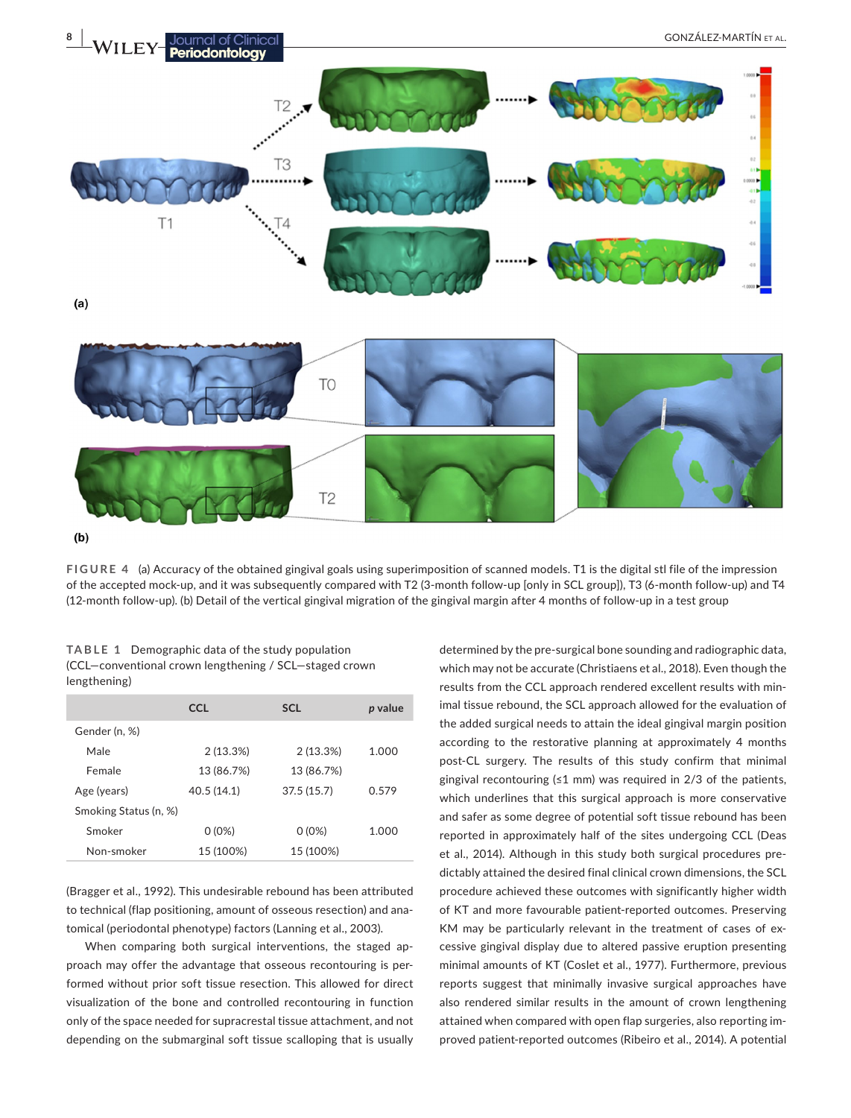

**FIGURE 4** (a) Accuracy of the obtained gingival goals using superimposition of scanned models. T1 is the digital stl file of the impression of the accepted mock-up, and it was subsequently compared with T2 (3-month follow-up [only in SCL group]), T3 (6-month follow-up) and T4 (12-month follow-up). (b) Detail of the vertical gingival migration of the gingival margin after 4 months of follow-up in a test group

|              | <b>TABLE 1</b> Demographic data of the study population |
|--------------|---------------------------------------------------------|
|              | (CCL-conventional crown lengthening / SCL-staged crown  |
| lengthening) |                                                         |

|                       | <b>CCL</b> | <b>SCL</b> | p value |
|-----------------------|------------|------------|---------|
| Gender (n, %)         |            |            |         |
| Male                  | 2(13.3%)   | 2(13.3%)   | 1.000   |
| Female                | 13 (86.7%) | 13 (86.7%) |         |
| Age (years)           | 40.5(14.1) | 37.5(15.7) | 0.579   |
| Smoking Status (n, %) |            |            |         |
| Smoker                | $0(0\%)$   | $0(0\%)$   | 1.000   |
| Non-smoker            | 15 (100%)  | 15 (100%)  |         |

(Bragger et al., 1992). This undesirable rebound has been attributed to technical (flap positioning, amount of osseous resection) and anatomical (periodontal phenotype) factors (Lanning et al., 2003).

When comparing both surgical interventions, the staged approach may offer the advantage that osseous recontouring is performed without prior soft tissue resection. This allowed for direct visualization of the bone and controlled recontouring in function only of the space needed for supracrestal tissue attachment, and not depending on the submarginal soft tissue scalloping that is usually

determined by the pre-surgical bone sounding and radiographic data, which may not be accurate (Christiaens et al., 2018). Even though the results from the CCL approach rendered excellent results with minimal tissue rebound, the SCL approach allowed for the evaluation of the added surgical needs to attain the ideal gingival margin position according to the restorative planning at approximately 4 months post-CL surgery. The results of this study confirm that minimal gingival recontouring (≤1 mm) was required in  $2/3$  of the patients, which underlines that this surgical approach is more conservative and safer as some degree of potential soft tissue rebound has been reported in approximately half of the sites undergoing CCL (Deas et al., 2014). Although in this study both surgical procedures predictably attained the desired final clinical crown dimensions, the SCL procedure achieved these outcomes with significantly higher width of KT and more favourable patient-reported outcomes. Preserving KM may be particularly relevant in the treatment of cases of excessive gingival display due to altered passive eruption presenting minimal amounts of KT (Coslet et al., 1977). Furthermore, previous reports suggest that minimally invasive surgical approaches have also rendered similar results in the amount of crown lengthening attained when compared with open flap surgeries, also reporting improved patient-reported outcomes (Ribeiro et al., 2014). A potential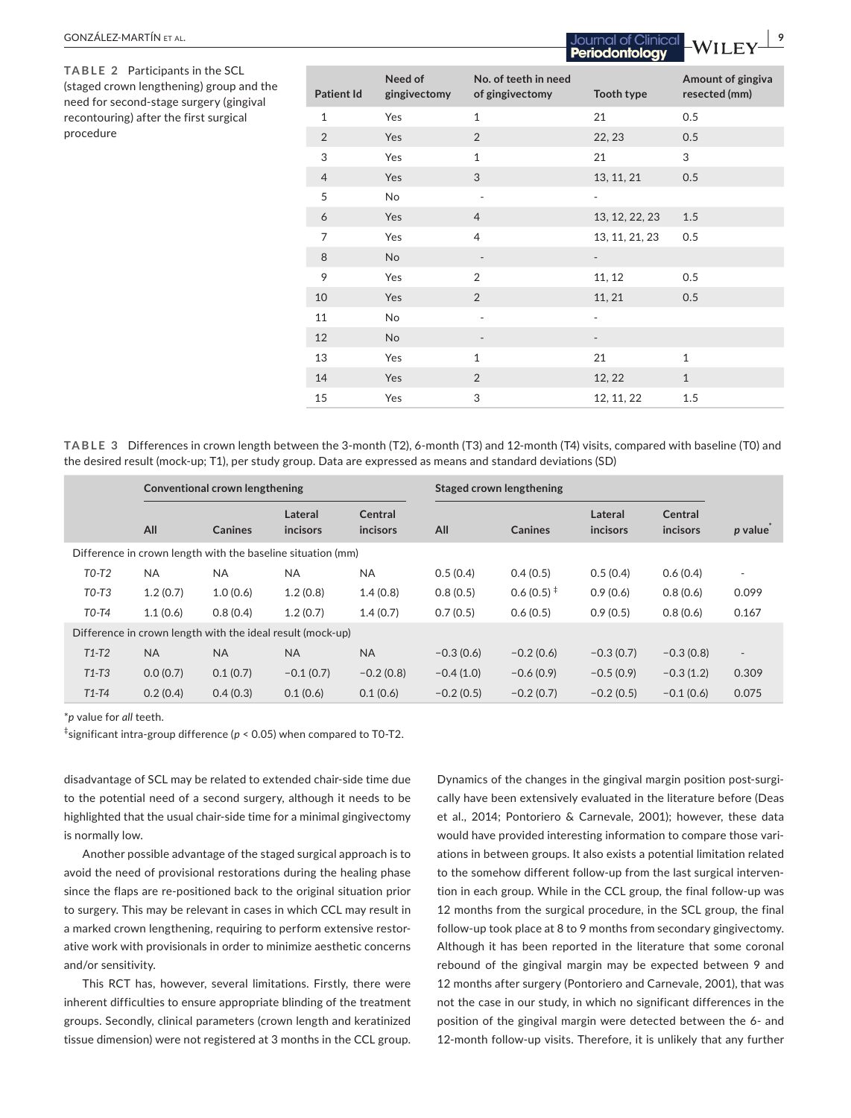| urgery (gingival                                                                                                                                                                                        |                     |                     |                                 |                          |                            |         |  |  |
|---------------------------------------------------------------------------------------------------------------------------------------------------------------------------------------------------------|---------------------|---------------------|---------------------------------|--------------------------|----------------------------|---------|--|--|
| first surgical                                                                                                                                                                                          | 1                   | Yes                 | 1                               | 21                       | 0.5                        |         |  |  |
|                                                                                                                                                                                                         | $\overline{2}$      | Yes                 | $\overline{2}$                  | 22, 23                   | 0.5                        |         |  |  |
|                                                                                                                                                                                                         | 3                   | Yes                 | $\mathbf 1$                     | 21                       | 3                          |         |  |  |
|                                                                                                                                                                                                         | $\overline{4}$      | Yes                 | 3                               | 13, 11, 21               | 0.5                        |         |  |  |
|                                                                                                                                                                                                         | 5                   | No                  | ÷,                              | $\overline{\phantom{a}}$ |                            |         |  |  |
|                                                                                                                                                                                                         | 6                   | Yes                 | $\overline{4}$                  | 13, 12, 22, 23           | 1.5                        |         |  |  |
|                                                                                                                                                                                                         | $\overline{7}$      | Yes                 | $\overline{4}$                  | 13, 11, 21, 23           | 0.5                        |         |  |  |
|                                                                                                                                                                                                         | 8                   | <b>No</b>           |                                 |                          |                            |         |  |  |
|                                                                                                                                                                                                         | 9                   | Yes                 | 2                               | 11, 12                   | 0.5                        |         |  |  |
|                                                                                                                                                                                                         | 10                  | Yes                 | $\overline{2}$                  | 11, 21                   | 0.5                        |         |  |  |
|                                                                                                                                                                                                         | 11                  | No                  |                                 |                          |                            |         |  |  |
|                                                                                                                                                                                                         | 12                  | <b>No</b>           |                                 | $\overline{\phantom{a}}$ |                            |         |  |  |
|                                                                                                                                                                                                         | 13                  | Yes                 | 1                               | 21                       | $\mathbf{1}$               |         |  |  |
|                                                                                                                                                                                                         | 14                  | Yes                 | 2                               | 12, 22                   | $\mathbf{1}$               |         |  |  |
|                                                                                                                                                                                                         | 15                  | Yes                 | 3                               | 12, 11, 22               | 1.5                        |         |  |  |
| in crown length between the 3-month (T2), 6-month (T3) and 12-month (T4) visits, compared with baseline (T0) and<br>-up; T1), per study group. Data are expressed as means and standard deviations (SD) |                     |                     |                                 |                          |                            |         |  |  |
| ional crown lengthening                                                                                                                                                                                 |                     |                     | <b>Staged crown lengthening</b> |                          |                            |         |  |  |
| <b>Canines</b>                                                                                                                                                                                          | Lateral<br>incisors | Central<br>incisors | <b>Canines</b><br>All           | Lateral<br>incisors      | <b>Central</b><br>incisors | p value |  |  |
| gth with the baseline situation (mm)                                                                                                                                                                    |                     |                     |                                 |                          |                            |         |  |  |
|                                                                                                                                                                                                         |                     |                     |                                 |                          |                            |         |  |  |

**No. of teeth in need** 

**of gingivectomy Tooth type**

**TABLE 2** Participants in the SCL (staged crown lengthening) group and the need for second-stage su recontouring) after the f procedure

**TABLE 3 Differences** the desired result (mock

**Patient Id**

**Need of gingivectomy**

|                                                             | Conventional crown lengthening |           |                     |                     | Staged crown lengthening |                |                     |                     |                          |
|-------------------------------------------------------------|--------------------------------|-----------|---------------------|---------------------|--------------------------|----------------|---------------------|---------------------|--------------------------|
|                                                             | All                            | Canines   | Lateral<br>incisors | Central<br>incisors | All                      | Canines        | Lateral<br>incisors | Central<br>incisors | $p$ value                |
| Difference in crown length with the baseline situation (mm) |                                |           |                     |                     |                          |                |                     |                     |                          |
| $T0-T2$                                                     | <b>NA</b>                      | <b>NA</b> | <b>NA</b>           | <b>NA</b>           | 0.5(0.4)                 | 0.4(0.5)       | 0.5(0.4)            | 0.6(0.4)            | ۰                        |
| $T0-T3$                                                     | 1.2(0.7)                       | 1.0(0.6)  | 1.2(0.8)            | 1.4(0.8)            | 0.8(0.5)                 | $0.6(0.5)^{+}$ | 0.9(0.6)            | 0.8(0.6)            | 0.099                    |
| $T0-T4$                                                     | 1.1(0.6)                       | 0.8(0.4)  | 1.2(0.7)            | 1.4(0.7)            | 0.7(0.5)                 | 0.6(0.5)       | 0.9(0.5)            | 0.8(0.6)            | 0.167                    |
| Difference in crown length with the ideal result (mock-up)  |                                |           |                     |                     |                          |                |                     |                     |                          |
| $T1-T2$                                                     | <b>NA</b>                      | <b>NA</b> | <b>NA</b>           | <b>NA</b>           | $-0.3(0.6)$              | $-0.2(0.6)$    | $-0.3(0.7)$         | $-0.3(0.8)$         | $\overline{\phantom{a}}$ |
| $T1-T3$                                                     | 0.0(0.7)                       | 0.1(0.7)  | $-0.1(0.7)$         | $-0.2(0.8)$         | $-0.4(1.0)$              | $-0.6(0.9)$    | $-0.5(0.9)$         | $-0.3(1.2)$         | 0.309                    |
| $T1-T4$                                                     | 0.2(0.4)                       | 0.4(0.3)  | 0.1(0.6)            | 0.1(0.6)            | $-0.2(0.5)$              | $-0.2(0.7)$    | $-0.2(0.5)$         | $-0.1(0.6)$         | 0.075                    |

\**p* value for *all* teeth.

 $\mathcal{L}$ 

‡ significant intra-group difference (*p* < 0.05) when compared to T0-T2.

disadvantage of SCL may be related to extended chair-side time due to the potential need of a second surgery, although it needs to be highlighted that the usual chair-side time for a minimal gingivectomy is normally low.

Another possible advantage of the staged surgical approach is to avoid the need of provisional restorations during the healing phase since the flaps are re-positioned back to the original situation prior to surgery. This may be relevant in cases in which CCL may result in a marked crown lengthening, requiring to perform extensive restorative work with provisionals in order to minimize aesthetic concerns and/or sensitivity.

This RCT has, however, several limitations. Firstly, there were inherent difficulties to ensure appropriate blinding of the treatment groups. Secondly, clinical parameters (crown length and keratinized tissue dimension) were not registered at 3 months in the CCL group.

Dynamics of the changes in the gingival margin position post-surgically have been extensively evaluated in the literature before (Deas et al., 2014; Pontoriero & Carnevale, 2001); however, these data would have provided interesting information to compare those variations in between groups. It also exists a potential limitation related to the somehow different follow-up from the last surgical intervention in each group. While in the CCL group, the final follow-up was 12 months from the surgical procedure, in the SCL group, the final follow-up took place at 8 to 9 months from secondary gingivectomy. Although it has been reported in the literature that some coronal rebound of the gingival margin may be expected between 9 and 12 months after surgery (Pontoriero and Carnevale, 2001), that was not the case in our study, in which no significant differences in the position of the gingival margin were detected between the 6- and 12-month follow-up visits. Therefore, it is unlikely that any further

**Amount of gingiva resected (mm)**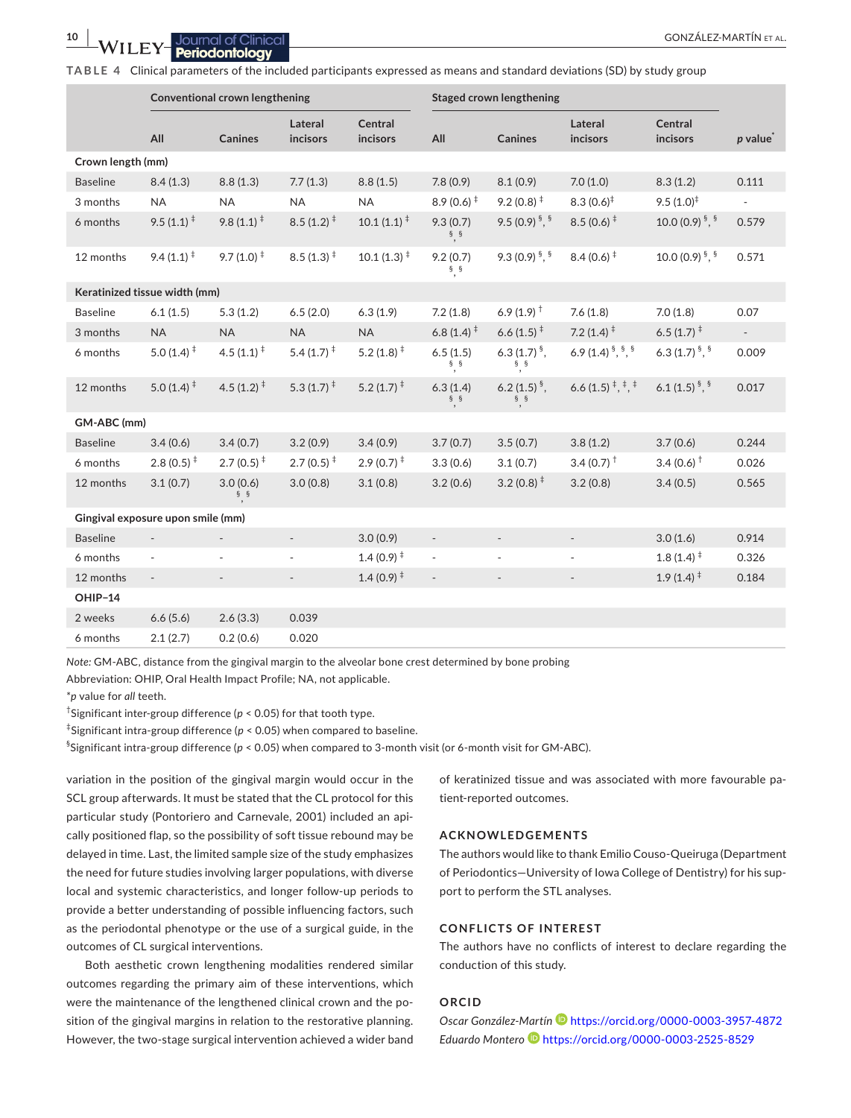**TABLE 4** Clinical parameters of the included participants expressed as means and standard deviations (SD) by study group

|                                   | Conventional crown lengthening               |                        |                                              |                          | Staged crown lengthening                  |                                         |                                              |                                          |                          |
|-----------------------------------|----------------------------------------------|------------------------|----------------------------------------------|--------------------------|-------------------------------------------|-----------------------------------------|----------------------------------------------|------------------------------------------|--------------------------|
|                                   | All                                          | <b>Canines</b>         | Lateral<br>incisors                          | Central<br>incisors      | All                                       | <b>Canines</b>                          | Lateral<br>incisors                          | Central<br>incisors                      | $p$ value                |
| Crown length (mm)                 |                                              |                        |                                              |                          |                                           |                                         |                                              |                                          |                          |
| <b>Baseline</b>                   | 8.4(1.3)                                     | 8.8(1.3)               | 7.7(1.3)                                     | 8.8(1.5)                 | 7.8(0.9)                                  | 8.1(0.9)                                | 7.0(1.0)                                     | 8.3(1.2)                                 | 0.111                    |
| 3 months                          | <b>NA</b>                                    | <b>NA</b>              | <b>NA</b>                                    | <b>NA</b>                | $8.9(0.6)^{+}$                            | $9.2(0.8)^{\ddagger}$                   | $8.3(0.6)^{\ddagger}$                        | $9.5(1.0)^{\ddagger}$                    | $\blacksquare$           |
| 6 months                          | $9.5(1.1)^*$                                 | $9.8(1.1)^*$           | $8.5(1.2)^{+}$                               | $10.1(1.1)^{\ddagger}$   | 9.3(0.7)<br>$\frac{1}{2}$ , $\frac{5}{2}$ | 9.5 (0.9) $\frac{5}{7}$ , $\frac{5}{7}$ | $8.5(0.6)^{\ddagger}$                        | 10.0 (0.9) $\frac{5}{7}$ , $\frac{5}{7}$ | 0.579                    |
| 12 months                         | $9.4(1.1)^{+}$                               | $9.7(1.0)^{+}$         | $8.5(1.3)^{+}$                               | $10.1(1.3)^{+}$          | 9.2(0.7)<br>$\S,$ $\S$                    | 9.3 $(0.9)^{5}$ , $^{5}$                | $8.4(0.6)^{+}$                               | 10.0 (0.9) $\frac{5}{7}$ , $\frac{5}{7}$ | 0.571                    |
|                                   | Keratinized tissue width (mm)                |                        |                                              |                          |                                           |                                         |                                              |                                          |                          |
| <b>Baseline</b>                   | 6.1(1.5)                                     | 5.3(1.2)               | 6.5(2.0)                                     | 6.3(1.9)                 | 7.2(1.8)                                  | 6.9 $(1.9)$ <sup>†</sup>                | 7.6(1.8)                                     | 7.0(1.8)                                 | 0.07                     |
| 3 months                          | <b>NA</b>                                    | <b>NA</b>              | <b>NA</b>                                    | <b>NA</b>                | 6.8 $(1.4)$ <sup>#</sup>                  | 6.6 $(1.5)^{\ddagger}$                  | 7.2 $(1.4)$ <sup><math>\ddagger</math></sup> | 6.5 $(1.7)^{\ddagger}$                   | $\overline{\phantom{a}}$ |
| 6 months                          | 5.0 $(1.4)$ <sup><math>\ddagger</math></sup> | 4.5 $(1.1)^{\ddagger}$ | 5.4 $(1.7)$ <sup><math>\ddagger</math></sup> | 5.2 $(1.8)$ <sup>‡</sup> | 6.5(1.5)<br>$\frac{1}{2}$ , $\frac{5}{2}$ | 6.3 $(1.7)^{5}$ .<br>$^{\S},$ $^{\S}$   | 6.9 (1.4) $\frac{5}{7}$ , $\frac{5}{7}$      | 6.3 $(1.7)^{5}$ , $^{5}$                 | 0.009                    |
| 12 months                         | 5.0 $(1.4)$ <sup><math>\ddagger</math></sup> | 4.5 $(1.2)^{\ddagger}$ | 5.3 $(1.7)^{\ddagger}$                       | 5.2 $(1.7)^{\ddagger}$   | 6.3(1.4)<br>$§$ §<br>$, \, \,$            | 6.2 $(1.5)^{5}$ ,<br>$\S$ $\S$          | 6.6 (1.5) $\frac{1}{7}$ , $\frac{1}{7}$      | 6.1 $(1.5)^{\frac{5}{7}}$                | 0.017                    |
| GM-ABC (mm)                       |                                              |                        |                                              |                          |                                           |                                         |                                              |                                          |                          |
| <b>Baseline</b>                   | 3.4(0.6)                                     | 3.4(0.7)               | 3.2(0.9)                                     | 3.4(0.9)                 | 3.7(0.7)                                  | 3.5(0.7)                                | 3.8(1.2)                                     | 3.7(0.6)                                 | 0.244                    |
| 6 months                          | $2.8(0.5)^{+}$                               | $2.7(0.5)^{+}$         | $2.7(0.5)^{+}$                               | $2.9(0.7)^{+}$           | 3.3(0.6)                                  | 3.1(0.7)                                | 3.4 (0.7) $^{\dagger}$                       | 3.4 (0.6) $^{\dagger}$                   | 0.026                    |
| 12 months                         | 3.1(0.7)                                     | 3.0(0.6)<br>$\S$ $\S$  | 3.0(0.8)                                     | 3.1(0.8)                 | 3.2(0.6)                                  | $3.2(0.8)^{\ddagger}$                   | 3.2(0.8)                                     | 3.4(0.5)                                 | 0.565                    |
| Gingival exposure upon smile (mm) |                                              |                        |                                              |                          |                                           |                                         |                                              |                                          |                          |
| <b>Baseline</b>                   |                                              |                        | $\overline{\phantom{a}}$                     | 3.0(0.9)                 | $\overline{\phantom{a}}$                  | $\overline{\phantom{a}}$                | $\overline{\phantom{a}}$                     | 3.0(1.6)                                 | 0.914                    |
| 6 months                          | $\overline{\phantom{a}}$                     |                        |                                              | $1.4(0.9)^{\ddagger}$    | $\overline{\phantom{a}}$                  |                                         |                                              | $1.8(1.4)^{+}$                           | 0.326                    |
| 12 months                         | $\blacksquare$                               | ÷,                     | $\overline{\phantom{a}}$                     | 1.4 (0.9) $*$            | $\Box$                                    | $\overline{\phantom{a}}$                |                                              | $1.9(1.4)^{\ddagger}$                    | 0.184                    |
| OHIP-14                           |                                              |                        |                                              |                          |                                           |                                         |                                              |                                          |                          |
| 2 weeks                           | 6.6(5.6)                                     | 2.6(3.3)               | 0.039                                        |                          |                                           |                                         |                                              |                                          |                          |
| 6 months                          | 2.1(2.7)                                     | 0.2(0.6)               | 0.020                                        |                          |                                           |                                         |                                              |                                          |                          |

*Note:* GM-ABC, distance from the gingival margin to the alveolar bone crest determined by bone probing

Abbreviation: OHIP, Oral Health Impact Profile; NA, not applicable.

\**p* value for *all* teeth.

† Significant inter-group difference (*p* < 0.05) for that tooth type.

‡ Significant intra-group difference (*p* < 0.05) when compared to baseline.

§ Significant intra-group difference (*p* < 0.05) when compared to 3-month visit (or 6-month visit for GM-ABC).

variation in the position of the gingival margin would occur in the SCL group afterwards. It must be stated that the CL protocol for this particular study (Pontoriero and Carnevale, 2001) included an apically positioned flap, so the possibility of soft tissue rebound may be delayed in time. Last, the limited sample size of the study emphasizes the need for future studies involving larger populations, with diverse local and systemic characteristics, and longer follow-up periods to provide a better understanding of possible influencing factors, such as the periodontal phenotype or the use of a surgical guide, in the outcomes of CL surgical interventions.

Both aesthetic crown lengthening modalities rendered similar outcomes regarding the primary aim of these interventions, which were the maintenance of the lengthened clinical crown and the position of the gingival margins in relation to the restorative planning. However, the two-stage surgical intervention achieved a wider band

of keratinized tissue and was associated with more favourable patient-reported outcomes.

#### **ACKNOWLEDGEMENTS**

The authors would like to thank Emilio Couso-Queiruga (Department of Periodontics—University of Iowa College of Dentistry) for his support to perform the STL analyses.

#### **CONFLICTS OF INTEREST**

The authors have no conflicts of interest to declare regarding the conduction of this study.

# **ORCID**

*Oscar González-Martín* <https://orcid.org/0000-0003-3957-4872> *Eduardo Monter[o](https://orcid.org/0000-0003-2525-8529)* <https://orcid.org/0000-0003-2525-8529>